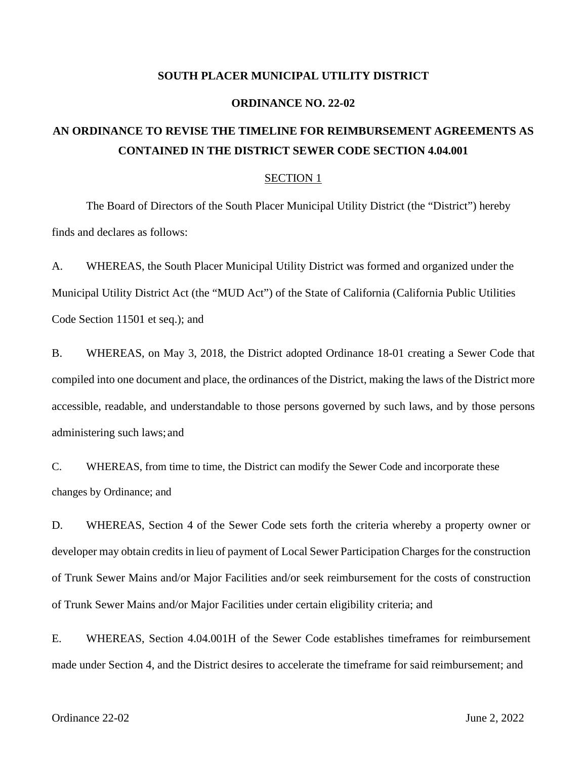#### **SOUTH PLACER MUNICIPAL UTILITY DISTRICT**

#### **ORDINANCE NO. 22-02**

# **AN ORDINANCE TO REVISE THE TIMELINE FOR REIMBURSEMENT AGREEMENTS AS CONTAINED IN THE DISTRICT SEWER CODE SECTION 4.04.001**

#### SECTION 1

The Board of Directors of the South Placer Municipal Utility District (the "District") hereby finds and declares as follows:

A. WHEREAS, the South Placer Municipal Utility District was formed and organized under the Municipal Utility District Act (the "MUD Act") of the State of California (California Public Utilities Code Section 11501 et seq.); and

B. WHEREAS, on May 3, 2018, the District adopted Ordinance 18-01 creating a Sewer Code that compiled into one document and place, the ordinances of the District, making the laws of the District more accessible, readable, and understandable to those persons governed by such laws, and by those persons administering such laws; and

C. WHEREAS, from time to time, the District can modify the Sewer Code and incorporate these changes by Ordinance; and

D. WHEREAS, Section 4 of the Sewer Code sets forth the criteria whereby a property owner or developer may obtain credits in lieu of payment of Local Sewer Participation Charges for the construction of Trunk Sewer Mains and/or Major Facilities and/or seek reimbursement for the costs of construction of Trunk Sewer Mains and/or Major Facilities under certain eligibility criteria; and

E. WHEREAS, Section 4.04.001H of the Sewer Code establishes timeframes for reimbursement made under Section 4, and the District desires to accelerate the timeframe for said reimbursement; and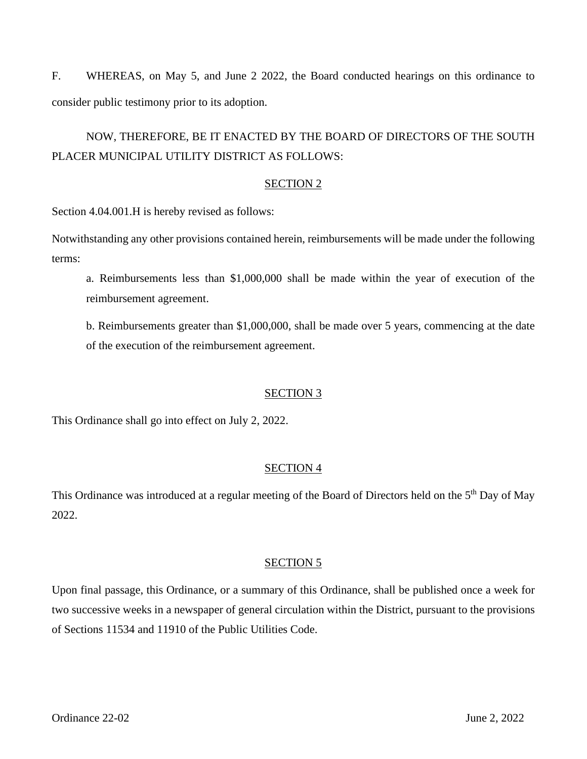F. WHEREAS, on May 5, and June 2 2022, the Board conducted hearings on this ordinance to consider public testimony prior to its adoption.

# NOW, THEREFORE, BE IT ENACTED BY THE BOARD OF DIRECTORS OF THE SOUTH PLACER MUNICIPAL UTILITY DISTRICT AS FOLLOWS:

#### SECTION 2

Section 4.04.001.H is hereby revised as follows:

Notwithstanding any other provisions contained herein, reimbursements will be made under the following terms:

a. Reimbursements less than \$1,000,000 shall be made within the year of execution of the reimbursement agreement.

b. Reimbursements greater than \$1,000,000, shall be made over 5 years, commencing at the date of the execution of the reimbursement agreement.

## SECTION 3

This Ordinance shall go into effect on July 2, 2022.

## SECTION 4

This Ordinance was introduced at a regular meeting of the Board of Directors held on the 5<sup>th</sup> Day of May 2022.

## SECTION 5

Upon final passage, this Ordinance, or a summary of this Ordinance, shall be published once a week for two successive weeks in a newspaper of general circulation within the District, pursuant to the provisions of Sections 11534 and 11910 of the Public Utilities Code.